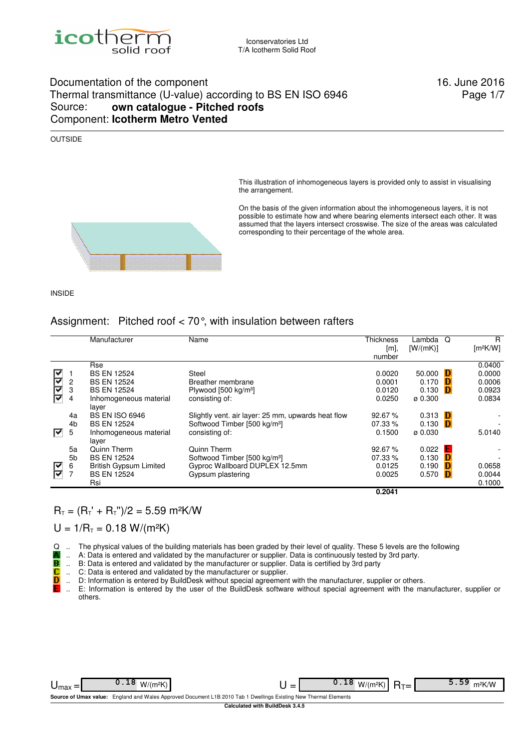

## Documentation of the component 16. June 2016 Thermal transmittance (U-value) according to BS EN ISO 6946 Source: **own catalogue - Pitched roofs** Component: **Icotherm Metro Vented**

Page 1/7

### OUTSIDE

This illustration of inhomogeneous layers is provided only to assist in visualising the arrangement.

On the basis of the given information about the inhomogeneous layers, it is not possible to estimate how and where bearing elements intersect each other. It was assumed that the layers intersect crosswise. The size of the areas was calculated corresponding to their percentage of the whole area.



## Assignment: Pitched roof < 70°, with insulation between rafters

|    |                | Manufacturer                    | Name                                               | <b>Thickness</b> | Lambda              | Q | R                    |
|----|----------------|---------------------------------|----------------------------------------------------|------------------|---------------------|---|----------------------|
|    |                |                                 |                                                    | [m],             | [W/(mK)]            |   | [m <sup>2</sup> K/W] |
|    |                |                                 |                                                    | number           |                     |   |                      |
|    |                | Rse                             |                                                    |                  |                     |   | 0.0400               |
| r  |                | <b>BS EN 12524</b>              | Steel                                              | 0.0020           | 50.000              | D | 0.0000               |
| ∣⊽ | 2              | <b>BS EN 12524</b>              | Breather membrane                                  | 0.0001           | 0.170               | Ð | 0.0006               |
| F  | 3              | <b>BS EN 12524</b>              | Plywood [500 kg/m <sup>3</sup> ]                   | 0.0120           | 0.130               | D | 0.0923               |
|    | 4              | Inhomogeneous material<br>layer | consisting of:                                     | 0.0250           | $\varnothing$ 0.300 |   | 0.0834               |
|    | 4a             | <b>BS EN ISO 6946</b>           | Slightly vent. air layer: 25 mm, upwards heat flow | 92.67%           | 0.313               | Ð |                      |
|    | 4 <sub>b</sub> | <b>BS EN 12524</b>              | Softwood Timber [500 kg/m <sup>3</sup> ]           | 07.33 %          | 0.130               | D |                      |
| 罓  | 5              | Inhomogeneous material<br>laver | consisting of:                                     | 0.1500           | ø 0.030             |   | 5.0140               |
|    | 5a             | Quinn Therm                     | Quinn Therm                                        | 92.67%           | 0.022               | Е |                      |
|    | 5 <sub>b</sub> | <b>BS EN 12524</b>              | Softwood Timber [500 kg/m <sup>3</sup> ]           | 07.33 %          | 0.130               | Ð |                      |
|    | 6              | <b>British Gypsum Limited</b>   | Gyproc Wallboard DUPLEX 12.5mm                     | 0.0125           | 0.190               | Ð | 0.0658               |
| ę  | $\overline{7}$ | <b>BS EN 12524</b>              | Gypsum plastering                                  | 0.0025           | 0.570               | D | 0.0044               |
|    |                | Rsi                             |                                                    |                  |                     |   | 0.1000               |
|    |                |                                 |                                                    | 0.2041           |                     |   |                      |

 $R_T = (R_T + R_T)$ " /2 = 5.59 m<sup>2</sup>K/W

 $U = 1/R_T = 0.18 W/(m^2K)$ 

 $Q$  .. The physical values of the building materials has been graded by their level of quality. These 5 levels are the following  $\blacksquare$ .. A: Data is entered and validated by the manufacturer or supplier. Data is continuou

- .. A: Data is entered and validated by the manufacturer or supplier. Data is continuously tested by 3rd party.
- .. B: Data is entered and validated by the manufacturer or supplier. Data is certified by 3rd party
- TB<br>C .. C: Data is entered and validated by the manufacturer or supplier.
- D .. D: Information is entered by BuildDesk without special agreement with the manufacturer, supplier or others.
- E .. E: Information is entered by the user of the BuildDesk software without special agreement with the manufacturer, supplier or others.

| ⊃max                                                                                                             |  | _<br>_ |  |  | m <sup>2</sup> K/W |  |  |  |  |  |
|------------------------------------------------------------------------------------------------------------------|--|--------|--|--|--------------------|--|--|--|--|--|
| Source of Umax value: England and Wales Approved Document L1B 2010 Tab 1 Dwellings Existing New Thermal Elements |  |        |  |  |                    |  |  |  |  |  |
| Calculated with BuildDesk 3.4.5                                                                                  |  |        |  |  |                    |  |  |  |  |  |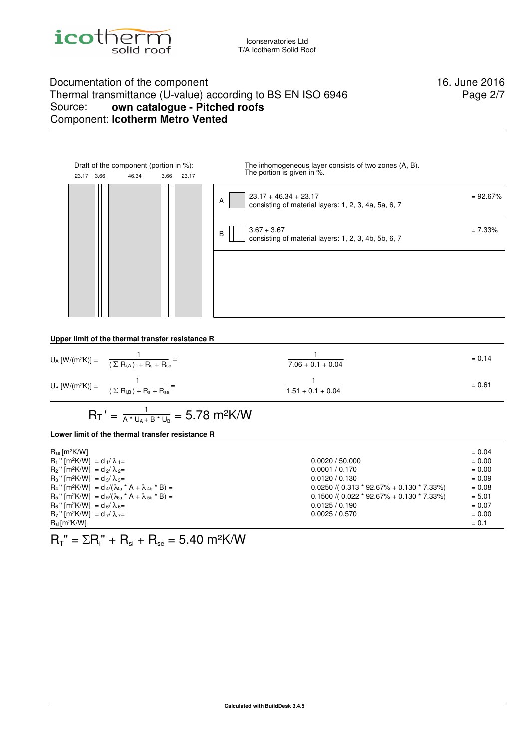

# Documentation of the component 16. June 2016 Thermal transmittance (U-value) according to BS EN ISO 6946<br>Source: own catalogue - Pitched roofs own catalogue - Pitched roofs Component: **Icotherm Metro Vented**

Page 2/7



**Upper limit of the thermal transfer resistance R**

| $U_A [W/(m^2K)] = \frac{1}{(\sum R_{i,A}) + R_{si} + R_{se}} =$ | $7.06 + 0.1 + 0.04$ | $= 0.14$ |
|-----------------------------------------------------------------|---------------------|----------|
| $U_B [W/(m^2K)] = \frac{1}{(\sum R_{i,B}) + R_{si} + R_{se}} =$ | $1.51 + 0.1 + 0.04$ | $= 0.61$ |

$$
R_T\prime=\tfrac{1}{A^*\,U_A+B^*\,U_B}=5.78\ m^2K/W
$$

## **Lower limit of the thermal transfer resistance R**

| $R_{se}$ [m <sup>2</sup> K/W]                                                               |                                                | $= 0.04$ |
|---------------------------------------------------------------------------------------------|------------------------------------------------|----------|
| $R_1$ " [m <sup>2</sup> K/W] = d <sub>1</sub> / $\lambda_{1}$ =                             | 0.0020 / 50.000                                | $= 0.00$ |
| $R_2$ " [m <sup>2</sup> K/W] = d <sub>2</sub> / $\lambda_{2}$ =                             | 0.0001 / 0.170                                 | $= 0.00$ |
| $R_3$ " [m <sup>2</sup> K/W] = d <sub>3</sub> / $\lambda_{3}$ =                             | 0.0120 / 0.130                                 | $= 0.09$ |
| $R_4$ " [m <sup>2</sup> K/W] = d <sub>4</sub> /( $\lambda_{4a}$ * A + $\lambda_{4b}$ * B) = | $0.0250$ /( $0.313 * 92.67% + 0.130 * 7.33%$ ) | $= 0.08$ |
| $R_5$ " [m <sup>2</sup> K/W] = $d_5/( \lambda_{5a} * A + \lambda_{5b} * B) =$               | $0.1500$ /( $0.022 * 92.67% + 0.130 * 7.33%$ ) | $= 5.01$ |
| $R_6$ " [m <sup>2</sup> K/W] = d <sub>6</sub> / $\lambda_{6}$ =                             | 0.0125 / 0.190                                 | $= 0.07$ |
| $R_7$ " [m <sup>2</sup> K/W] = d <sub>7</sub> / $\lambda$ <sub>7</sub> =                    | 0.0025 / 0.570                                 | $= 0.00$ |
| $R_{si}$ [m <sup>2</sup> K/W]                                                               |                                                | $= 0.1$  |

 $R_T$ " =  $\Sigma R_i$ " +  $R_{si}$  +  $R_{se}$  = 5.40 m<sup>2</sup>K/W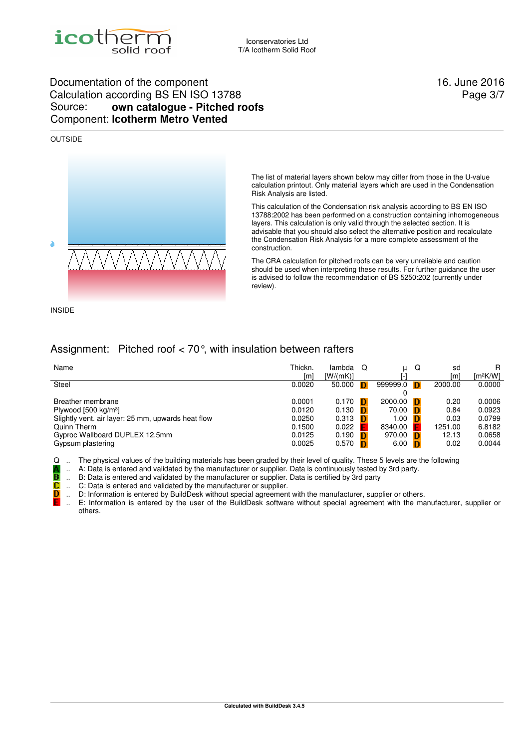

# Documentation of the component 16. June 2016 Calculation according BS EN ISO 13788 Source: **own catalogue - Pitched roofs** Component: **Icotherm Metro Vented**

### OUTSIDE



The list of material layers shown below may differ from those in the U-value calculation printout. Only material layers which are used in the Condensation Risk Analysis are listed.

This calculation of the Condensation risk analysis according to BS EN ISO 13788:2002 has been performed on a construction containing inhomogeneous layers. This calculation is only valid through the selected section. It is advisable that you should also select the alternative position and recalculate the Condensation Risk Analysis for a more complete assessment of the construction.

The CRA calculation for pitched roofs can be very unreliable and caution should be used when interpreting these results. For further guidance the user is advised to follow the recommendation of BS 5250:202 (currently under review).

INSIDE

C<br>D

# Assignment: Pitched roof < 70°, with insulation between rafters

| Name                                               | Thickn. | lambda   | O |          | Q | sd      | R<br>Im <sup>2</sup> K/W1 |
|----------------------------------------------------|---------|----------|---|----------|---|---------|---------------------------|
|                                                    | [m]     | [W/(mK)] |   |          |   | ſm      |                           |
| Steel                                              | 0.0020  | 50.000   | D | 999999.0 | D | 2000.00 | 0.0000                    |
|                                                    |         |          |   |          |   |         |                           |
| Breather membrane                                  | 0.0001  | 0.170    | n | 2000.00  | Đ | 0.20    | 0.0006                    |
| Plywood [500 kg/m <sup>3</sup> ]                   | 0.0120  | 0.130    |   | 70.00    | Đ | 0.84    | 0.0923                    |
| Slightly vent. air layer: 25 mm, upwards heat flow | 0.0250  | 0.313    |   | 1.00     | Ð | 0.03    | 0.0799                    |
| Quinn Therm                                        | 0.1500  | 0.022    |   | 8340.00  | F | 1251.00 | 6.8182                    |
| Gyproc Wallboard DUPLEX 12.5mm                     | 0.0125  | 0.190    |   | 970.00   | Đ | 12.13   | 0.0658                    |
| Gypsum plastering                                  | 0.0025  | 0.570    |   | 6.00     | Ð | 0.02    | 0.0044                    |

Q .. The physical values of the building materials has been graded by their level of quality. These 5 levels are the following

.. A: Data is entered and validated by the manufacturer or supplier. Data is continuously tested by 3rd party. A<br>B

B: Data is entered and validated by the manufacturer or supplier. Data is certified by 3rd party

C: Data is entered and validated by the manufacturer or supplier.

D: Information is entered by BuildDesk without special agreement with the manufacturer, supplier or others.

E: Information is entered by the user of the BuildDesk software without special agreement with the manufacturer, supplier or others.

Page 3/7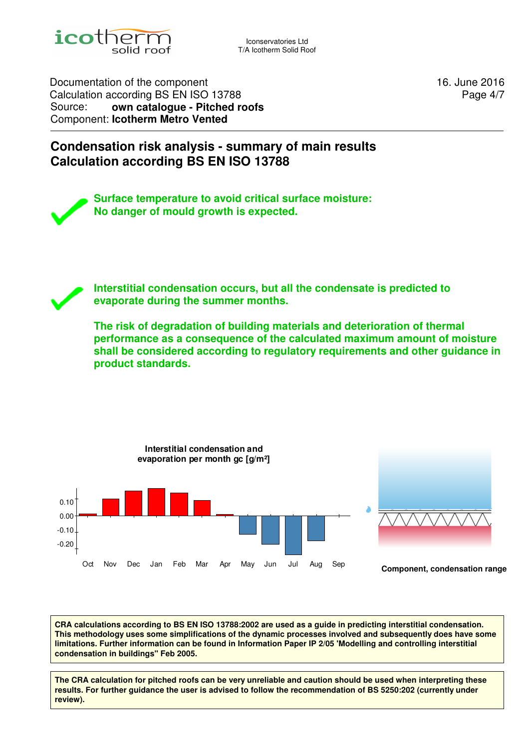

Iconservatories Ltd T/A Icotherm Solid Roof

Documentation of the component 16. June 2016 Calculation according BS EN ISO 13788 Source: **own catalogue - Pitched roofs** Component: **Icotherm Metro Vented**

Page 4/7

# **Condensation risk analysis - summary of main results Calculation according BS EN ISO 13788**

**Surface temperature to avoid critical surface moisture: No danger of mould growth is expected.**

**Interstitial condensation occurs, but all the condensate is predicted to evaporate during the summer months.**

**The risk of degradation of building materials and deterioration of thermal performance as a consequence of the calculated maximum amount of moisture shall be considered according to regulatory requirements and other guidance in product standards.**



**CRA calculations according to BS EN ISO 13788:2002 are used as a guide in predicting interstitial condensation. This methodology uses some simplifications of the dynamic processes involved and subsequently does have some limitations. Further information can be found in Information Paper IP 2/05 'Modelling and controlling interstitial condensation in buildings'' Feb 2005.**

**The CRA calculation for pitched roofs can be very unreliable and caution should be used when interpreting these results. For further guidance the user is advised to follow the recommendation of BS 5250:202 (currently under review).**

**Calculated with BuildDesk 3.4.5**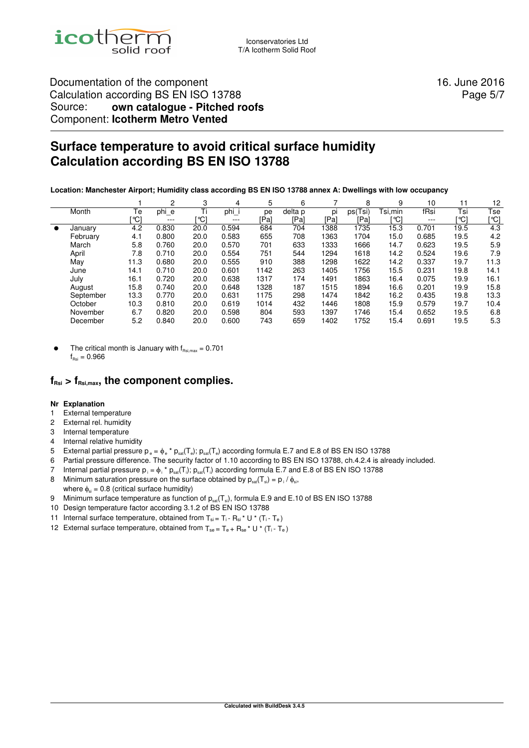

# Documentation of the component 16. June 2016 Calculation according BS EN ISO 13788 Source: **own catalogue - Pitched roofs** Component: **Icotherm Metro Vented**

Page 5/7

# **Surface temperature to avoid critical surface humidity Calculation according BS EN ISO 13788**

**Location: Manchester Airport; Humidity class according BS EN ISO 13788 annex A: Dwellings with low occupancy** 

|           |           |      | 2       | 3    | 4       | 5    | 6       |      | 8       | 9       | 10      |      | 12   |
|-----------|-----------|------|---------|------|---------|------|---------|------|---------|---------|---------|------|------|
|           | Month     | Te   | phi_e   | Ti   | phi     | pe   | delta p | pi   | ps(Tsi) | Tsi,min | fRsi    | Tsi  | Tse  |
|           |           | [°C] | $- - -$ | [℃]  | $- - -$ | [Pa] | [Pa]    | [Pa] | [Pa]    | `℃]     | $- - -$ | [℃]  | [℃]  |
| $\bullet$ | January   | 4.2  | 0.830   | 20.0 | 0.594   | 684  | 704     | 1388 | 1735    | 15.3    | 0.701   | 19.5 | 4.3  |
|           | February  | 4.1  | 0.800   | 20.0 | 0.583   | 655  | 708     | 1363 | 1704    | 15.0    | 0.685   | 19.5 | 4.2  |
|           | March     | 5.8  | 0.760   | 20.0 | 0.570   | 701  | 633     | 1333 | 1666    | 14.7    | 0.623   | 19.5 | 5.9  |
|           | April     | 7.8  | 0.710   | 20.0 | 0.554   | 751  | 544     | 1294 | 1618    | 14.2    | 0.524   | 19.6 | 7.9  |
|           | May       | 11.3 | 0.680   | 20.0 | 0.555   | 910  | 388     | 1298 | 1622    | 14.2    | 0.337   | 19.7 | 11.3 |
|           | June      | 14.1 | 0.710   | 20.0 | 0.601   | 1142 | 263     | 1405 | 1756    | 15.5    | 0.231   | 19.8 | 14.1 |
|           | July      | 16.1 | 0.720   | 20.0 | 0.638   | 1317 | 174     | 1491 | 1863    | 16.4    | 0.075   | 19.9 | 16.1 |
|           | August    | 15.8 | 0.740   | 20.0 | 0.648   | 1328 | 187     | 1515 | 1894    | 16.6    | 0.201   | 19.9 | 15.8 |
|           | September | 13.3 | 0.770   | 20.0 | 0.631   | 1175 | 298     | 1474 | 1842    | 16.2    | 0.435   | 19.8 | 13.3 |
|           | October   | 10.3 | 0.810   | 20.0 | 0.619   | 1014 | 432     | 1446 | 1808    | 15.9    | 0.579   | 19.7 | 10.4 |
|           | November  | 6.7  | 0.820   | 20.0 | 0.598   | 804  | 593     | 1397 | 1746    | 15.4    | 0.652   | 19.5 | 6.8  |
|           | December  | 5.2  | 0.840   | 20.0 | 0.600   | 743  | 659     | 1402 | 1752    | 15.4    | 0.691   | 19.5 | 5.3  |

The critical month is January with  $f_{\text{Rsi,max}} = 0.701$  $f_{\text{Poi}} = 0.966$ 

# $f_{\text{Rsi}} > f_{\text{Rsi,max}}$ , the component complies.

### **Nr Explanation**

- 1 External temperature
- 2 External rel. humidity
- 3 Internal temperature
- 4 Internal relative humidity
- 5 External partial pressure p<sub>e</sub> =  $\phi$  e \*  $p_{sat}(T_e)$ ;  $p_{sat}(T_e)$  according formula E.7 and E.8 of BS EN ISO 13788
- 6 Partial pressure difference. The security factor of 1.10 according to BS EN ISO 13788, ch.4.2.4 is already included.
- 7 Internal partial pressure  $p_i = \phi_i^* p_{sat}(T_i); p_{sat}(T_i)$  according formula E.7 and E.8 of BS EN ISO 13788
- 8 Minimum saturation pressure on the surface obtained by  $p_{sat}(T_{si}) = p_i / \phi_{si}$ , where  $\phi_{si} = 0.8$  (critical surface humidity)
- 9 Minimum surface temperature as function of  $p_{sat}(T_{si})$ , formula E.9 and E.10 of BS EN ISO 13788
- 10 Design temperature factor according 3.1.2 of BS EN ISO 13788
- 11 Internal surface temperature, obtained from  $T_{si} = T_i R_{si} * U * (T_i T_e)$
- 12 External surface temperature, obtained from  $T_{se} = T_e + R_{se} * U * (T_i T_e)$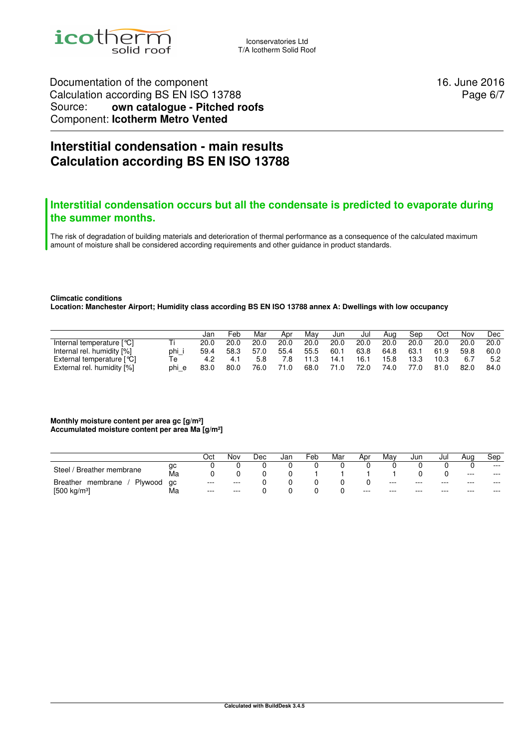

Iconservatories Ltd T/A Icotherm Solid Roof

Documentation of the component 16. June 2016 Calculation according BS EN ISO 13788 Source: **own catalogue - Pitched roofs** Component: **Icotherm Metro Vented**

Page 6/7

# **Interstitial condensation - main results Calculation according BS EN ISO 13788**

## **Interstitial condensation occurs but all the condensate is predicted to evaporate during the summer months.**

The risk of degradation of building materials and deterioration of thermal performance as a consequence of the calculated maximum amount of moisture shall be considered according requirements and other guidance in product standards.

#### **Climcatic conditions**

**Location: Manchester Airport; Humidity class according BS EN ISO 13788 annex A: Dwellings with low occupancy** 

|                            |       | Jan  | Feb  | Mar  | Apr  | Mav  | Jun  | Jul  | Aug  | Sep  | Oct  | Nov  | Dec  |
|----------------------------|-------|------|------|------|------|------|------|------|------|------|------|------|------|
| Internal temperature [°C]  | Τi    | 20.0 | 20.0 | 20.0 | 20.0 | 20.0 | 20.0 | 20.0 | 20.0 | 20.0 | 20.0 | 20.0 | 20.0 |
| Internal rel. humidity [%] | phi i | 59.4 | 58.3 | 57.0 | 55.4 | 55.5 | 60.1 | 63.8 | 64.8 | 63.1 | 61.9 | 59.8 | 60.0 |
| External temperature [°C]  | Te    | 4.2  | 4.1  | 5.8  | 7.8  | 11.3 | 14.1 | 16.1 | 15.8 | 13.3 | 10.3 | 6.7  | 5.2  |
| External rel. humidity [%] | phi e | 83.0 | 80.0 | 76.0 | 71.0 | 68.0 | 71.0 | 72.0 | 74.0 | 77.0 | 81.0 | 82.0 | 84.0 |

#### **Monthly moisture content per area gc [g/m²] Accumulated moisture content per area Ma [g/m²]**

|                                 |    | Oct      | Nov      | Dec | Jan | ⊢eb | Mar | Apr   | Mav   | Jun     | Jul     | Aua     | Sep     |
|---------------------------------|----|----------|----------|-----|-----|-----|-----|-------|-------|---------|---------|---------|---------|
| ' Breather membrane<br>Steel /  | gc |          |          |     |     |     |     |       |       |         |         |         | $- - -$ |
|                                 | Ma |          |          |     |     |     |     |       |       |         |         | $- - -$ | $---$   |
| Plywood<br>Breather<br>membrane | ac | $\cdots$ | $\cdots$ |     |     |     |     |       | $---$ | $- - -$ | $- - -$ | $- - -$ | $---$   |
| $[500 \text{ kg/m}^3]$          | Ма | $---$    | $\cdots$ |     |     |     |     | $---$ | $--$  | $- - -$ | $- - -$ | $- - -$ | $--$    |